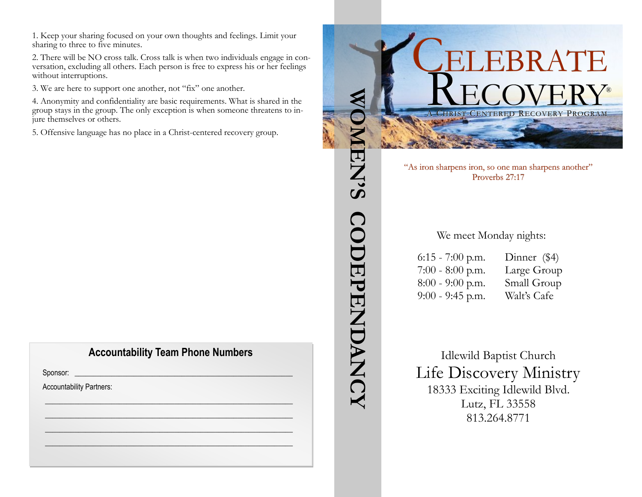1. Keep your sharing focused on your own thoughts and feelings. Limit your sharing to three to five minutes.

2. There will be NO cross talk. Cross talk is when two individuals engage in conversation, excluding all others. Each person is free to express his or her feelings without interruptions.

3. We are here to support one another, not "fix" one another.

4. Anonymity and confidentiality are basic requirements. What is shared in the group stays in the group. The only exception is when someone threatens to injure themselves or others.

5. Offensive language has no place in a Christ-centered recovery group.

#### **Accountability Team Phone Numbers**

 $\mathscr{L}_\mathscr{L} \mathscr{L}_\mathscr{L} \mathscr{L}_\mathscr{L} \mathscr{L}_\mathscr{L}$  $\frac{1}{2}$  ,  $\frac{1}{2}$  ,  $\frac{1}{2}$  ,  $\frac{1}{2}$  ,  $\frac{1}{2}$  ,  $\frac{1}{2}$  ,  $\frac{1}{2}$  ,  $\frac{1}{2}$  ,  $\frac{1}{2}$  ,  $\frac{1}{2}$ \_\_\_\_\_\_\_\_\_\_\_\_\_\_\_\_\_\_\_\_\_\_\_\_\_\_\_\_\_\_\_\_\_\_\_\_\_\_\_\_\_\_\_\_\_\_\_\_\_\_\_\_\_\_\_\_\_\_\_\_\_\_\_\_\_\_\_ \_\_\_\_\_\_\_\_\_\_\_\_\_\_\_\_\_\_\_\_\_\_\_\_\_\_\_\_\_\_\_\_\_\_\_\_\_\_\_\_\_\_\_\_\_\_\_\_\_\_\_\_\_\_\_\_\_\_\_\_\_\_\_\_\_\_\_

Sponsor: \_\_\_\_\_\_\_\_\_\_\_\_\_\_\_\_\_\_\_\_\_\_\_\_\_\_\_\_\_\_\_\_\_\_\_\_\_\_\_\_\_\_\_\_\_\_\_\_\_\_\_\_\_\_\_\_\_\_\_

Accountability Partners: